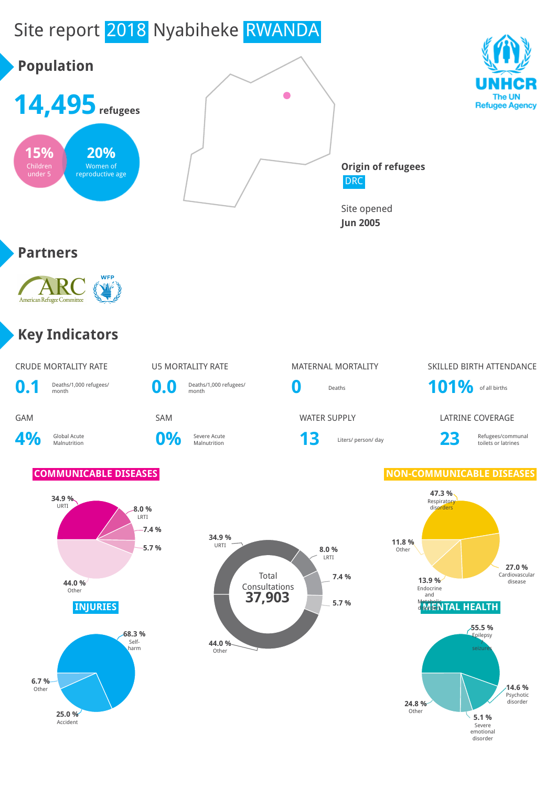# Site report 2018 Nyabiheke RWANDA





**Origin of refugees** DRC

Site opened **Jun 2005**

#### **Partners**



#### **Key Indicators**

|     | <b>CRUDE MORTALITY RATE</b>     |
|-----|---------------------------------|
| 0.1 | Deaths/1,000 refugees/<br>month |

4% Global Acute

Deaths/1,000 refugees/<br>month<br>month<br>month

**0%** Severe Acute



U5 MORTALITY RATE MATERNAL MORTALITY SKILLED BIRTH ATTENDANCE

**GAM** SAM SAM SAM WATER SUPPLY LATRINE COVERAGE



Severe Acute **13** Liters/ person/ day **23** Refugees/communal Refugees/communal toilets or latrines

#### **COMMUNICABLE DISEASES NON-COMMUNICABLE DISEASES**





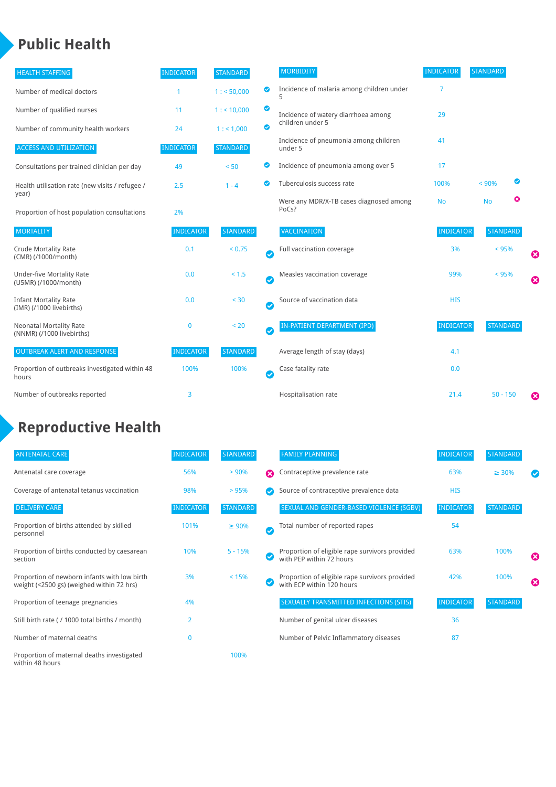#### **Public Health**

| <b>HEALTH STAFFING</b>                                      | <b>INDICATOR</b> | <b>STANDARD</b> |           | <b>MORBIDITY</b>                                 | <b>INDICATOR</b> | <b>STANDARD</b> |   |                       |
|-------------------------------------------------------------|------------------|-----------------|-----------|--------------------------------------------------|------------------|-----------------|---|-----------------------|
| Number of medical doctors                                   |                  | 1: 50,000       | ◉         | Incidence of malaria among children under        | 7                |                 |   |                       |
| Number of qualified nurses                                  | 11               | $1:$ < 10,000   | ◎         | Incidence of watery diarrhoea among              | 29               |                 |   |                       |
| Number of community health workers                          | 24               | 1: 1,000        | ◙         | children under 5                                 |                  |                 |   |                       |
| <b>ACCESS AND UTILIZATION</b>                               | <b>INDICATOR</b> | <b>STANDARD</b> |           | Incidence of pneumonia among children<br>under 5 | 41               |                 |   |                       |
| Consultations per trained clinician per day                 | 49               | < 50            | ◙         | Incidence of pneumonia among over 5              | 17               |                 |   |                       |
| Health utilisation rate (new visits / refugee /             | 2.5              | $1 - 4$         | ◙         | Tuberculosis success rate                        | 100%             | < 90%           | Ø |                       |
| year)<br>Proportion of host population consultations        | 2%               |                 |           | Were any MDR/X-TB cases diagnosed among<br>PoCs? | <b>No</b>        | <b>No</b>       | ఴ |                       |
| <b>MORTALITY</b>                                            | <b>INDICATOR</b> | <b>STANDARD</b> |           | <b>VACCINATION</b>                               | <b>INDICATOR</b> | <b>STANDARD</b> |   |                       |
| <b>Crude Mortality Rate</b><br>(CMR) (/1000/month)          | 0.1              | < 0.75          | Ø         | Full vaccination coverage                        | 3%               | < 95%           |   | Ø                     |
| <b>Under-five Mortality Rate</b><br>(U5MR) (/1000/month)    | 0.0              | $< 1.5$         | $\bullet$ | Measles vaccination coverage                     | 99%              | < 95%           |   | $\boldsymbol{\Omega}$ |
| <b>Infant Mortality Rate</b><br>(IMR) (/1000 livebirths)    | 0.0              | < 30            | $\bullet$ | Source of vaccination data                       | <b>HIS</b>       |                 |   |                       |
| <b>Neonatal Mortality Rate</b><br>(NNMR) (/1000 livebirths) | $\mathbf 0$      | < 20            | $\bullet$ | IN-PATIENT DEPARTMENT (IPD)                      | <b>INDICATOR</b> | <b>STANDARD</b> |   |                       |
| <b>OUTBREAK ALERT AND RESPONSE</b>                          | <b>INDICATOR</b> | <b>STANDARD</b> |           | Average length of stay (days)                    | 4.1              |                 |   |                       |
| Proportion of outbreaks investigated within 48<br>hours     | 100%             | 100%            | Ø         | Case fatality rate                               | 0.0              |                 |   |                       |
| Number of outbreaks reported                                | 3                |                 |           | Hospitalisation rate                             | 21.4             | $50 - 150$      |   | €                     |

## **Reproductive Health**

| <b>ANTENATAL CARE</b>                                                                     | <b>INDICATOR</b> | <b>STANDARD</b> |              | <b>FAMILY PLANNING</b>                                                      | <b>INDICATOR</b> | <b>STANDARD</b> |                       |
|-------------------------------------------------------------------------------------------|------------------|-----------------|--------------|-----------------------------------------------------------------------------|------------------|-----------------|-----------------------|
| Antenatal care coverage                                                                   | 56%              | > 90%           | Ω            | Contraceptive prevalence rate                                               | 63%              | $\geq 30\%$     |                       |
| Coverage of antenatal tetanus vaccination                                                 | 98%              | >95%            |              | Source of contraceptive prevalence data                                     | <b>HIS</b>       |                 |                       |
| <b>DELIVERY CARE</b>                                                                      | <b>INDICATOR</b> | <b>STANDARD</b> |              | SEXUAL AND GENDER-BASED VIOLENCE (SGBV)                                     | <b>INDICATOR</b> | <b>STANDARD</b> |                       |
| Proportion of births attended by skilled<br>personnel                                     | 101%             | $\geq 90\%$     | $\checkmark$ | Total number of reported rapes                                              | 54               |                 |                       |
| Proportion of births conducted by caesarean<br>section                                    | 10%              | $5 - 15%$       |              | Proportion of eligible rape survivors provided<br>with PEP within 72 hours  | 63%              | 100%            | ೞ                     |
| Proportion of newborn infants with low birth<br>weight (<2500 gs) (weighed within 72 hrs) | 3%               | < 15%           |              | Proportion of eligible rape survivors provided<br>with ECP within 120 hours | 42%              | 100%            | $\boldsymbol{\Omega}$ |
| Proportion of teenage pregnancies                                                         | 4%               |                 |              | SEXUALLY TRANSMITTED INFECTIONS (STIS)                                      | <b>INDICATOR</b> | <b>STANDARD</b> |                       |
| Still birth rate (/ 1000 total births / month)                                            | $\overline{2}$   |                 |              | Number of genital ulcer diseases                                            | 36               |                 |                       |
| Number of maternal deaths                                                                 | $\mathbf{0}$     |                 |              | Number of Pelvic Inflammatory diseases                                      | 87               |                 |                       |
| Proportion of maternal deaths investigated<br>within 48 hours                             |                  | 100%            |              |                                                                             |                  |                 |                       |